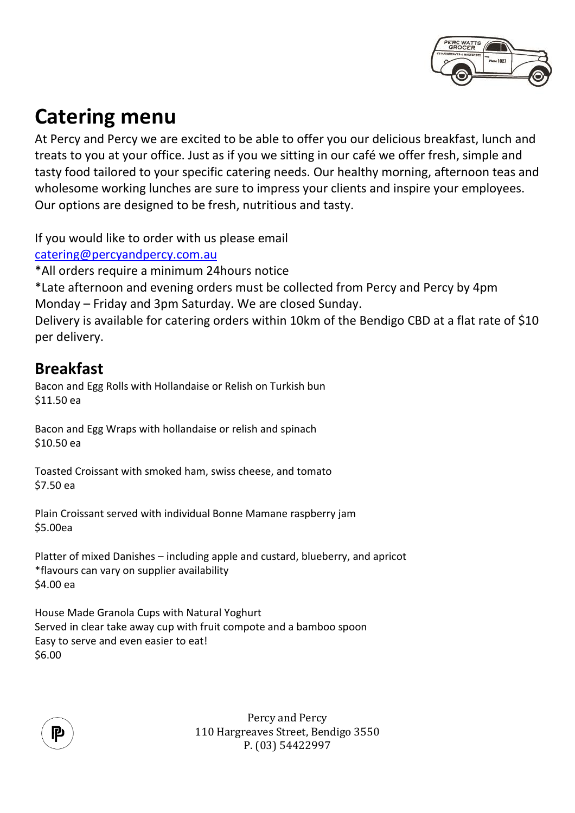

# **Catering menu**

At Percy and Percy we are excited to be able to offer you our delicious breakfast, lunch and treats to you at your office. Just as if you we sitting in our café we offer fresh, simple and tasty food tailored to your specific catering needs. Our healthy morning, afternoon teas and wholesome working lunches are sure to impress your clients and inspire your employees. Our options are designed to be fresh, nutritious and tasty.

If you would like to order with us please email

[catering@percyandpercy.com.au](mailto:catering@percyandpercy.com.au)

\*All orders require a minimum 24hours notice

\*Late afternoon and evening orders must be collected from Percy and Percy by 4pm Monday – Friday and 3pm Saturday. We are closed Sunday.

Delivery is available for catering orders within 10km of the Bendigo CBD at a flat rate of \$10 per delivery.

# **Breakfast**

Bacon and Egg Rolls with Hollandaise or Relish on Turkish bun \$11.50 ea

Bacon and Egg Wraps with hollandaise or relish and spinach \$10.50 ea

Toasted Croissant with smoked ham, swiss cheese, and tomato \$7.50 ea

Plain Croissant served with individual Bonne Mamane raspberry jam \$5.00ea

Platter of mixed Danishes – including apple and custard, blueberry, and apricot \*flavours can vary on supplier availability \$4.00 ea

House Made Granola Cups with Natural Yoghurt Served in clear take away cup with fruit compote and a bamboo spoon Easy to serve and even easier to eat! \$6.00

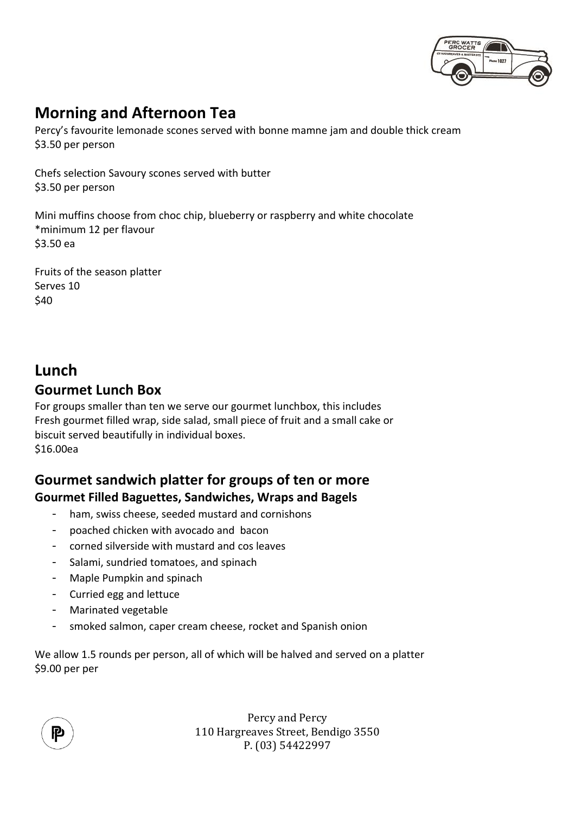

# **Morning and Afternoon Tea**

Percy's favourite lemonade scones served with bonne mamne jam and double thick cream \$3.50 per person

Chefs selection Savoury scones served with butter \$3.50 per person

Mini muffins choose from choc chip, blueberry or raspberry and white chocolate \*minimum 12 per flavour \$3.50 ea

Fruits of the season platter Serves 10 \$40

# **Lunch**

### **Gourmet Lunch Box**

For groups smaller than ten we serve our gourmet lunchbox, this includes Fresh gourmet filled wrap, side salad, small piece of fruit and a small cake or biscuit served beautifully in individual boxes. \$16.00ea

### **Gourmet sandwich platter for groups of ten or more Gourmet Filled Baguettes, Sandwiches, Wraps and Bagels**

- ham, swiss cheese, seeded mustard and cornishons
- poached chicken with avocado and bacon
- corned silverside with mustard and cos leaves
- Salami, sundried tomatoes, and spinach
- Maple Pumpkin and spinach
- Curried egg and lettuce
- Marinated vegetable
- smoked salmon, caper cream cheese, rocket and Spanish onion

We allow 1.5 rounds per person, all of which will be halved and served on a platter \$9.00 per per

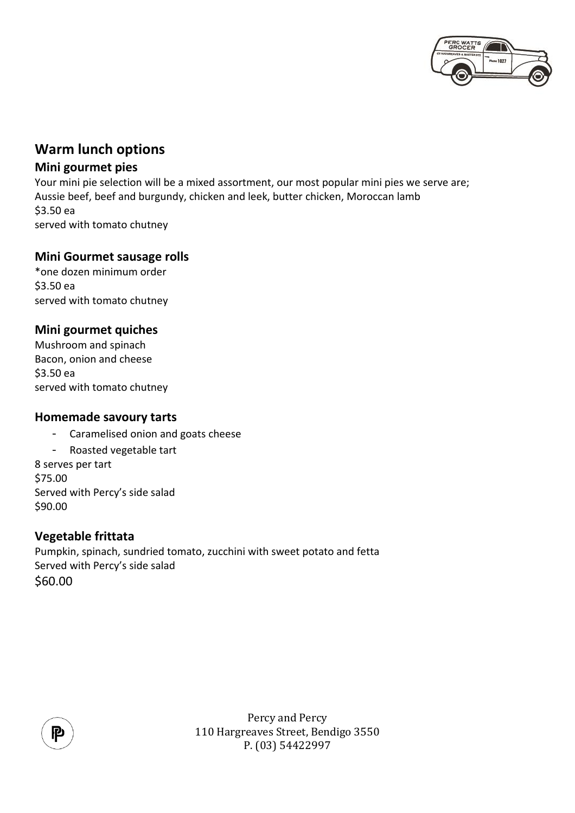

### **Warm lunch options**

#### **Mini gourmet pies**

Your mini pie selection will be a mixed assortment, our most popular mini pies we serve are; Aussie beef, beef and burgundy, chicken and leek, butter chicken, Moroccan lamb \$3.50 ea served with tomato chutney

#### **Mini Gourmet sausage rolls**

\*one dozen minimum order \$3.50 ea served with tomato chutney

#### **Mini gourmet quiches**

Mushroom and spinach Bacon, onion and cheese \$3.50 ea served with tomato chutney

#### **Homemade savoury tarts**

- Caramelised onion and goats cheese

- Roasted vegetable tart 8 serves per tart \$75.00 Served with Percy's side salad \$90.00

#### **Vegetable frittata**

Pumpkin, spinach, sundried tomato, zucchini with sweet potato and fetta Served with Percy's side salad \$60.00